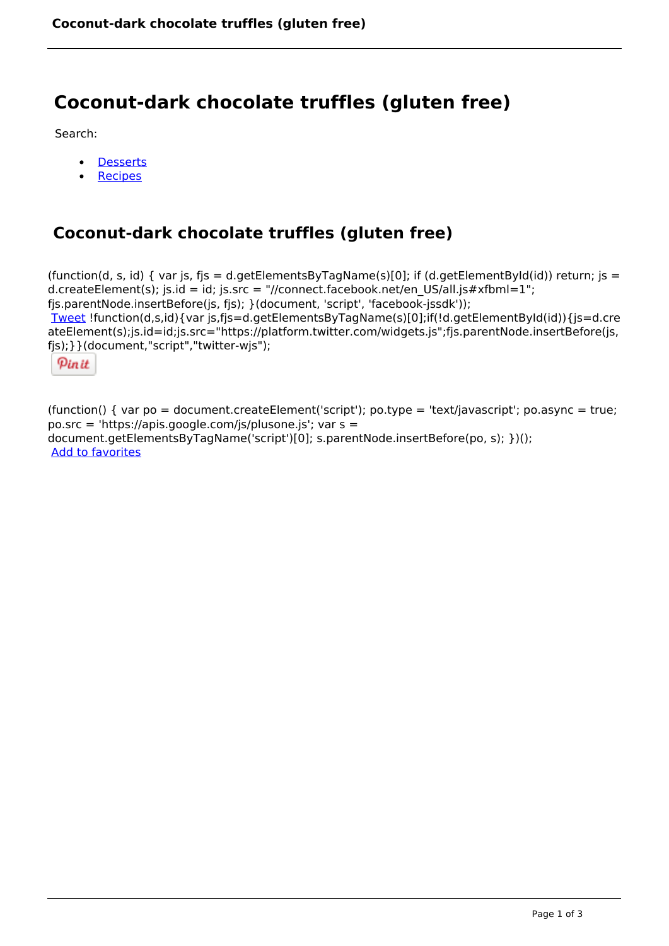## **Coconut-dark chocolate truffles (gluten free)**

Search:

- **[Desserts](https://www.naturalhealthmag.com.au/nourish/desserts)**  $\bullet$
- **[Recipes](https://www.naturalhealthmag.com.au/nourish/recipes)**

## **Coconut-dark chocolate truffles (gluten free)**

(function(d, s, id) { var js, fjs = d.getElementsByTagName(s)[0]; if (d.getElementById(id)) return; js = d.createElement(s); js.id = id; js.src = "//connect.facebook.net/en\_US/all.js#xfbml=1"; fjs.parentNode.insertBefore(js, fjs); }(document, 'script', 'facebook-jssdk')); [Tweet](https://twitter.com/share) !function(d,s,id){var js,fjs=d.getElementsByTagName(s)[0];if(!d.getElementById(id)){js=d.cre ateElement(s);js.id=id;js.src="https://platform.twitter.com/widgets.js";fjs.parentNode.insertBefore(js, fjs);}}(document,"script","twitter-wjs");

Pinit

(function() { var po = document.createElement('script'); po.type = 'text/javascript'; po.async = true; po.src = 'https://apis.google.com/js/plusone.js'; var s = document.getElementsByTagName('script')[0]; s.parentNode.insertBefore(po, s); })(); Add to favorites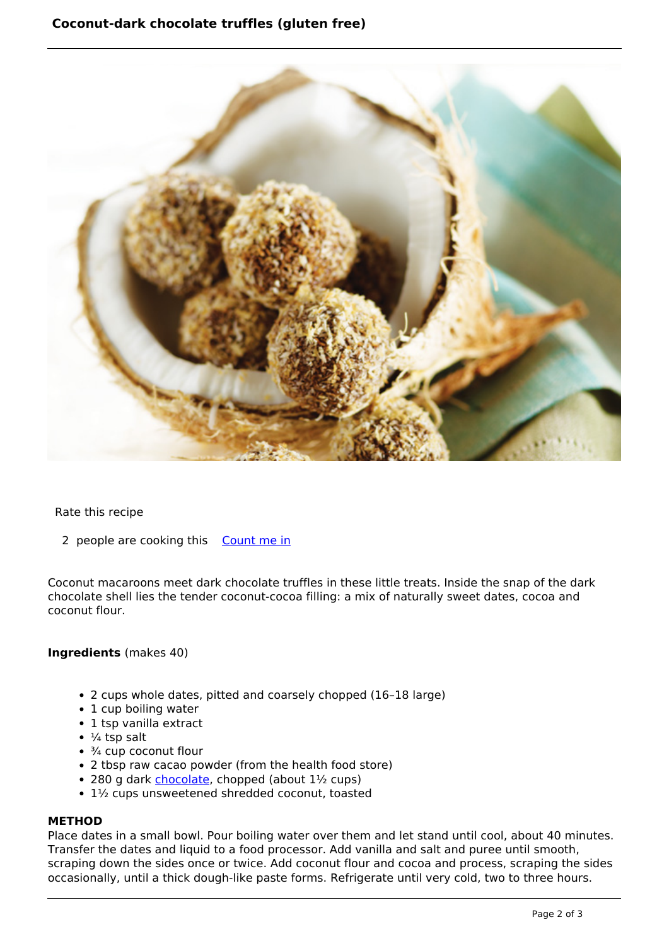

Rate this recipe

2 people are cooking this [Count me in](https://www.naturalhealthmag.com.au/flag/flag/favorites/856?destination=printpdf%2F856&token=b84fd8f475dc1d4048db19c7cb6ccbf8)

Coconut macaroons meet dark chocolate truffles in these little treats. Inside the snap of the dark chocolate shell lies the tender coconut-cocoa filling: a mix of naturally sweet dates, cocoa and coconut flour.

## **Ingredients** (makes 40)

- 2 cups whole dates, pitted and coarsely chopped (16–18 large)
- 1 cup boiling water
- 1 tsp vanilla extract
- $\cdot$   $\frac{1}{4}$  tsp salt
- $\cdot$   $\frac{3}{4}$  cup coconut flour
- 2 tbsp raw cacao powder (from the health food store)
- 280 g dark [chocolate,](http://www.naturalhealthmag.com.au/nourish/raw-chocolate-buds-vegan) chopped (about 1½ cups)
- 1½ cups unsweetened shredded coconut, toasted

## **METHOD**

Place dates in a small bowl. Pour boiling water over them and let stand until cool, about 40 minutes. Transfer the dates and liquid to a food processor. Add vanilla and salt and puree until smooth, scraping down the sides once or twice. Add coconut flour and cocoa and process, scraping the sides occasionally, until a thick dough-like paste forms. Refrigerate until very cold, two to three hours.